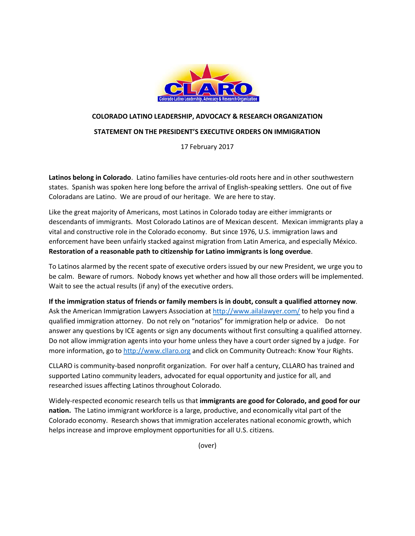

# **COLORADO LATINO LEADERSHIP, ADVOCACY & RESEARCH ORGANIZATION**

#### **STATEMENT ON THE PRESIDENT'S EXECUTIVE ORDERS ON IMMIGRATION**

17 February 2017

**Latinos belong in Colorado**. Latino families have centuries-old roots here and in other southwestern states. Spanish was spoken here long before the arrival of English-speaking settlers. One out of five Coloradans are Latino. We are proud of our heritage. We are here to stay.

Like the great majority of Americans, most Latinos in Colorado today are either immigrants or descendants of immigrants. Most Colorado Latinos are of Mexican descent. Mexican immigrants play a vital and constructive role in the Colorado economy. But since 1976, U.S. immigration laws and enforcement have been unfairly stacked against migration from Latin America, and especially México. **Restoration of a reasonable path to citizenship for Latino immigrants is long overdue**.

To Latinos alarmed by the recent spate of executive orders issued by our new President, we urge you to be calm. Beware of rumors. Nobody knows yet whether and how all those orders will be implemented. Wait to see the actual results (if any) of the executive orders.

**If the immigration status of friends or family members is in doubt, consult a qualified attorney now**. Ask the American Immigration Lawyers Association at<http://www.ailalawyer.com/> to help you find a qualified immigration attorney. Do not rely on "notarios" for immigration help or advice. Do not answer any questions by ICE agents or sign any documents without first consulting a qualified attorney. Do not allow immigration agents into your home unless they have a court order signed by a judge. For more information, go to [http://www.cllaro.org](http://www.cllaro.org/) and click on Community Outreach: Know Your Rights.

CLLARO is community-based nonprofit organization. For over half a century, CLLARO has trained and supported Latino community leaders, advocated for equal opportunity and justice for all, and researched issues affecting Latinos throughout Colorado.

Widely-respected economic research tells us that **immigrants are good for Colorado, and good for our nation.** The Latino immigrant workforce is a large, productive, and economically vital part of the Colorado economy. Research shows that immigration accelerates national economic growth, which helps increase and improve employment opportunities for all U.S. citizens.

(over)